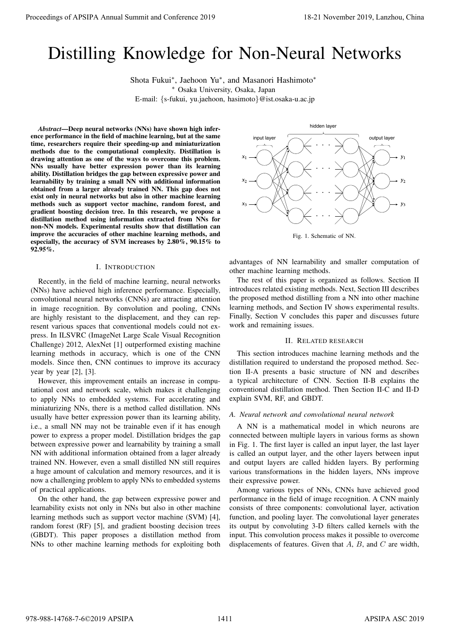# Distilling Knowledge for Non-Neural Networks

Shota Fukui*<sup>∗</sup>* , Jaehoon Yu*<sup>∗</sup>* , and Masanori Hashimoto*<sup>∗</sup> <sup>∗</sup>* Osaka University, Osaka, Japan E-mail: *{*s-fukui, yu.jaehoon, hasimoto*}*@ist.osaka-u.ac.jp

*Abstract*—Deep neural networks (NNs) have shown high inference performance in the field of machine learning, but at the same time, researchers require their speeding-up and miniaturization methods due to the computational complexity. Distillation is drawing attention as one of the ways to overcome this problem. NNs usually have better expression power than its learning ability. Distillation bridges the gap between expressive power and learnability by training a small NN with additional information obtained from a larger already trained NN. This gap does not exist only in neural networks but also in other machine learning methods such as support vector machine, random forest, and gradient boosting decision tree. In this research, we propose a distillation method using information extracted from NNs for non-NN models. Experimental results show that distillation can improve the accuracies of other machine learning methods, and especially, the accuracy of SVM increases by 2.80%, 90.15% to 92.95%. Proceedings of APSIPA Annual Summit and Conference 2019<br>
Distribution (Figure 2019)<br>
Distribution (Figure 2019)<br>
Since Figure 2019 Conservation (Figure 2019)<br>
Since Figure 2019 Conservation (Figure 2019)<br>
Annual Summit an

## I. INTRODUCTION

Recently, in the field of machine learning, neural networks (NNs) have achieved high inference performance. Especially, convolutional neural networks (CNNs) are attracting attention in image recognition. By convolution and pooling, CNNs are highly resistant to the displacement, and they can represent various spaces that conventional models could not express. In ILSVRC (ImageNet Large Scale Visual Recognition Challenge) 2012, AlexNet [1] outperformed existing machine learning methods in accuracy, which is one of the CNN models. Since then, CNN continues to improve its accuracy year by year [2], [3].

However, this improvement entails an increase in computational cost and network scale, which makes it challenging to apply NNs to embedded systems. For accelerating and miniaturizing NNs, there is a method called distillation. NNs usually have better expression power than its learning ability, i.e., a small NN may not be trainable even if it has enough power to express a proper model. Distillation bridges the gap between expressive power and learnability by training a small NN with additional information obtained from a lager already trained NN. However, even a small distilled NN still requires a huge amount of calculation and memory resources, and it is now a challenging problem to apply NNs to embedded systems of practical applications.

On the other hand, the gap between expressive power and learnability exists not only in NNs but also in other machine learning methods such as support vector machine (SVM) [4], random forest (RF) [5], and gradient boosting decision trees (GBDT). This paper proposes a distillation method from NNs to other machine learning methods for exploiting both



Fig. 1. Schematic of NN.

advantages of NN learnability and smaller computation of other machine learning methods.

The rest of this paper is organized as follows. Section II introduces related existing methods. Next, Section III describes the proposed method distilling from a NN into other machine learning methods, and Section IV shows experimental results. Finally, Section V concludes this paper and discusses future work and remaining issues.

## II. RELATED RESEARCH

This section introduces machine learning methods and the distillation required to understand the proposed method. Section II-A presents a basic structure of NN and describes a typical architecture of CNN. Section II-B explains the conventional distillation method. Then Section II-C and II-D explain SVM, RF, and GBDT.

## *A. Neural network and convolutional neural network*

A NN is a mathematical model in which neurons are connected between multiple layers in various forms as shown in Fig. 1. The first layer is called an input layer, the last layer is called an output layer, and the other layers between input and output layers are called hidden layers. By performing various transformations in the hidden layers, NNs improve their expressive power.

Among various types of NNs, CNNs have achieved good performance in the field of image recognition. A CNN mainly consists of three components: convolutional layer, activation function, and pooling layer. The convolutional layer generates its output by convoluting 3-D filters called kernels with the input. This convolution process makes it possible to overcome displacements of features. Given that *A*, *B*, and *C* are width,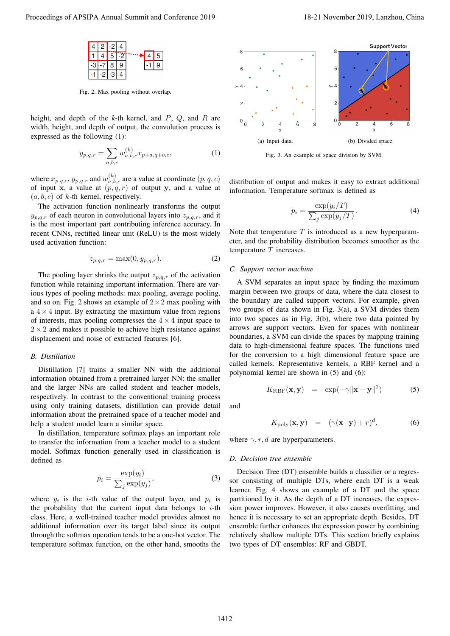

Fig. 2. Max pooling without overlap.

height, and depth of the *k*-th kernel, and *P*, *Q*, and *R* are width, height, and depth of output, the convolution process is expressed as the following (1):

$$
y_{p,q,r} = \sum_{a,b,c} w_{a,b,c}^{(k)} x_{p+a,q+b,c},
$$
 (1)

where  $x_{p,q,c}, y_{p,q,r}$  and  $w_{a,b,c}^{(k)}$  are a value at coordinate  $(p,q,c)$ of input **x**, a value at  $(p, q, r)$  of output **y**, and a value at  $(a, b, c)$  of *k*-th kernel, respectively.

The activation function nonlinearly transforms the output  $y_{p,q,r}$  of each neuron in convolutional layers into  $z_{p,q,r}$ , and it is the most important part contributing inference accuracy. In recent CNNs, rectified linear unit (ReLU) is the most widely used activation function:

$$
z_{p,q,r} = \max(0, y_{p,q,r}).
$$
\n(2)

The pooling layer shrinks the output  $z_{p,q,r}$  of the activation function while retaining important information. There are various types of pooling methods: max pooling, average pooling, and so on. Fig. 2 shows an example of 2*×*2 max pooling with a  $4 \times 4$  input. By extracting the maximum value from regions of interests, max pooling compresses the  $4 \times 4$  input space to  $2 \times 2$  and makes it possible to achieve high resistance against displacement and noise of extracted features [6].

## *B. Distillation*

Distillation [7] trains a smaller NN with the additional information obtained from a pretrained larger NN: the smaller and the larger NNs are called student and teacher models, respectively. In contrast to the conventional training process using only training datasets, distillation can provide detail information about the pretrained space of a teacher model and help a student model learn a similar space.

In distillation, temperature softmax plays an important role to transfer the information from a teacher model to a student model. Softmax function generally used in classification is defined as

$$
p_i = \frac{\exp(y_i)}{\sum_j \exp(y_j)},
$$
\n(3)

where  $y_i$  is the *i*-th value of the output layer, and  $p_i$  is the probability that the current input data belongs to *i*-th class. Here, a well-trained teacher model provides almost no additional information over its target label since its output through the softmax operation tends to be a one-hot vector. The temperature softmax function, on the other hand, smooths the



Fig. 3. An example of space division by SVM.

distribution of output and makes it easy to extract additional information. Temperature softmax is defined as

$$
p_i = \frac{\exp(y_i/T)}{\sum_j \exp(y_j/T)}.
$$
\n(4)

Note that temperature *T* is introduced as a new hyperparameter, and the probability distribution becomes smoother as the temperature *T* increases.

## *C. Support vector machine*

A SVM separates an input space by finding the maximum margin between two groups of data, where the data closest to the boundary are called support vectors. For example, given two groups of data shown in Fig. 3(a), a SVM divides them into two spaces as in Fig. 3(b), where two data pointed by arrows are support vectors. Even for spaces with nonlinear boundaries, a SVM can divide the spaces by mapping training data to high-dimensional feature spaces. The functions used for the conversion to a high dimensional feature space are called kernels. Representative kernels, a RBF kernel and a polynomial kernel are shown in (5) and (6):

$$
K_{\rm RBF}(\mathbf{x}, \mathbf{y}) = \exp(-\gamma \|\mathbf{x} - \mathbf{y}\|^2)
$$
 (5)

and

$$
K_{\text{po y}}(\mathbf{x}, \mathbf{y}) = (\gamma(\mathbf{x} \cdot \mathbf{y}) + r)^d, \tag{6}
$$

where  $\gamma$ , r, d are hyperparameters.

#### *D. Decision tree ensemble*

Decision Tree (DT) ensemble builds a classifier or a regressor consisting of multiple DTs, where each DT is a weak learner. Fig. 4 shows an example of a DT and the space partitioned by it. As the depth of a DT increases, the expression power improves. However, it also causes overfitting, and hence it is necessary to set an appropriate depth. Besides, DT ensemble further enhances the expression power by combining relatively shallow multiple DTs. This section briefly explains two types of DT ensembles: RF and GBDT.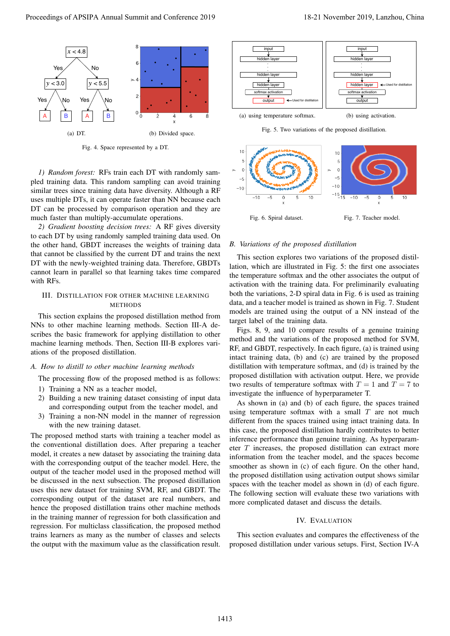

Fig. 4. Space represented by a DT.

*1) Random forest:* RFs train each DT with randomly sampled training data. This random sampling can avoid training similar trees since training data have diversity. Although a RF uses multiple DTs, it can operate faster than NN because each DT can be processed by comparison operation and they are much faster than multiply-accumulate operations.

*2) Gradient boosting decision trees:* A RF gives diversity to each DT by using randomly sampled training data used. On the other hand, GBDT increases the weights of training data that cannot be classified by the current DT and trains the next DT with the newly-weighted training data. Therefore, GBDTs cannot learn in parallel so that learning takes time compared with RFs.

# III. DISTILLATION FOR OTHER MACHINE LEARNING METHODS

This section explains the proposed distillation method from NNs to other machine learning methods. Section III-A describes the basic framework for applying distillation to other machine learning methods. Then, Section III-B explores variations of the proposed distillation.

# *A. How to distill to other machine learning methods*

The processing flow of the proposed method is as follows:

- 1) Training a NN as a teacher model,
- 2) Building a new training dataset consisting of input data and corresponding output from the teacher model, and
- 3) Training a non-NN model in the manner of regression with the new training dataset.

The proposed method starts with training a teacher model as the conventional distillation does. After preparing a teacher model, it creates a new dataset by associating the training data with the corresponding output of the teacher model. Here, the output of the teacher model used in the proposed method will be discussed in the next subsection. The proposed distillation uses this new dataset for training SVM, RF, and GBDT. The corresponding output of the dataset are real numbers, and hence the proposed distillation trains other machine methods in the training manner of regression for both classification and regression. For multiclass classification, the proposed method trains learners as many as the number of classes and selects the output with the maximum value as the classification result. Proceeding of APSIPA Annual Summit and Conference 2019<br>  $\frac{1}{\sqrt{2}}$  and  $\frac{1}{\sqrt{2}}$  and  $\frac{1}{\sqrt{2}}$  and  $\frac{1}{\sqrt{2}}$  and  $\frac{1}{\sqrt{2}}$  and  $\frac{1}{\sqrt{2}}$  and Conference 2019 18-21 November 2019 18-21 November 2019 18-21 N



(b) using activation.

Fig. 5. Two variations of the proposed distillation.



# *B. Variations of the proposed distillation*

This section explores two variations of the proposed distillation, which are illustrated in Fig. 5: the first one associates the temperature softmax and the other associates the output of activation with the training data. For preliminarily evaluating both the variations, 2-D spiral data in Fig. 6 is used as training data, and a teacher model is trained as shown in Fig. 7. Student models are trained using the output of a NN instead of the target label of the training data.

Figs. 8, 9, and 10 compare results of a genuine training method and the variations of the proposed method for SVM, RF, and GBDT, respectively. In each figure, (a) is trained using intact training data, (b) and (c) are trained by the proposed distillation with temperature softmax, and (d) is trained by the proposed distillation with activation output. Here, we provide two results of temperature softmax with  $T = 1$  and  $T = 7$  to investigate the influence of hyperparameter T.

As shown in (a) and (b) of each figure, the spaces trained using temperature softmax with a small *T* are not much different from the spaces trained using intact training data. In this case, the proposed distillation hardly contributes to better inference performance than genuine training. As hyperparameter *T* increases, the proposed distillation can extract more information from the teacher model, and the spaces become smoother as shown in (c) of each figure. On the other hand, the proposed distillation using activation output shows similar spaces with the teacher model as shown in (d) of each figure. The following section will evaluate these two variations with more complicated dataset and discuss the details.

# IV. EVALUATION

This section evaluates and compares the effectiveness of the proposed distillation under various setups. First, Section IV-A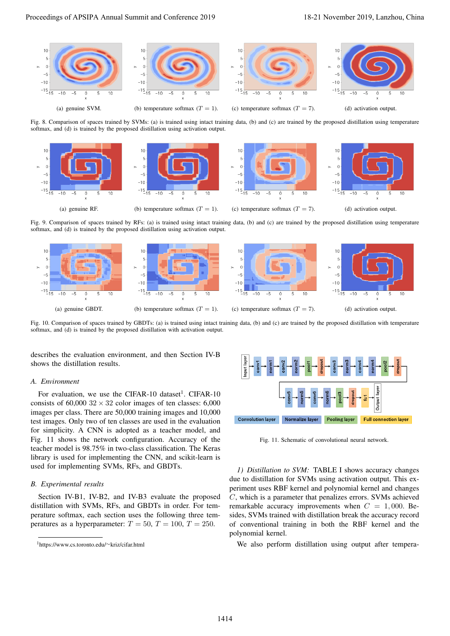

Fig. 8. Comparison of spaces trained by SVMs: (a) is trained using intact training data, (b) and (c) are trained by the proposed distillation using temperature softmax, and (d) is trained by the proposed distillation using activation output.



Fig. 9. Comparison of spaces trained by RFs: (a) is trained using intact training data, (b) and (c) are trained by the proposed distillation using temperature softmax, and (d) is trained by the proposed distillation using activation output.



Fig. 10. Comparison of spaces trained by GBDTs: (a) is trained using intact training data, (b) and (c) are trained by the proposed distillation with temperature softmax, and (d) is trained by the proposed distillation with activation output.

describes the evaluation environment, and then Section IV-B shows the distillation results.

## *A. Environment*

For evaluation, we use the CIFAR-10 dataset<sup>1</sup>. CIFAR-10 consists of  $60,000$   $32 \times 32$  color images of ten classes:  $6,000$ images per class. There are 50,000 training images and 10,000 test images. Only two of ten classes are used in the evaluation for simplicity. A CNN is adopted as a teacher model, and Fig. 11 shows the network configuration. Accuracy of the teacher model is 98.75% in two-class classification. The Keras library is used for implementing the CNN, and scikit-learn is used for implementing SVMs, RFs, and GBDTs.

## *B. Experimental results*

Section IV-B1, IV-B2, and IV-B3 evaluate the proposed distillation with SVMs, RFs, and GBDTs in order. For temperature softmax, each section uses the following three temperatures as a hyperparameter:  $T = 50$ ,  $T = 100$ ,  $T = 250$ .



Fig. 11. Schematic of convolutional neural network.

*1) Distillation to SVM:* TABLE I shows accuracy changes due to distillation for SVMs using activation output. This experiment uses RBF kernel and polynomial kernel and changes *C*, which is a parameter that penalizes errors. SVMs achieved remarkable accuracy improvements when  $C = 1,000$ . Besides, SVMs trained with distillation break the accuracy record of conventional training in both the RBF kernel and the polynomial kernel.

We also perform distillation using output after tempera-

<sup>1</sup>https://www.cs.toronto.edu/*∼*kriz/cifar.html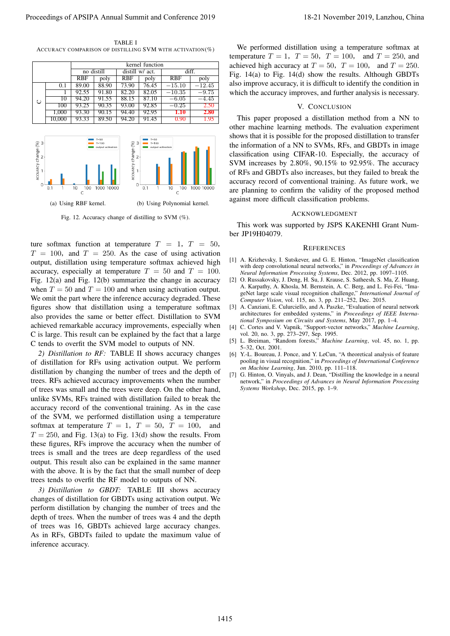TABLE I ACCURACY COMPARISON OF DISTILLING SVM WITH ACTIVATION(%)

|   |        | kernel function |       |            |                 |                    |          |  |
|---|--------|-----------------|-------|------------|-----------------|--------------------|----------|--|
|   |        | no distill      |       |            | distill w/ act. | diff.              |          |  |
|   |        | <b>RBF</b>      | poly  | <b>RBF</b> | poly            | RBF                | poly     |  |
|   | 0.1    | 89.00           | 88.90 | 73.90      | 76.45           | $-15.10$           | $-12.45$ |  |
|   |        | 92.55           | 91.80 | 82.20      | 82.05           | $-10.35$           | $-9.75$  |  |
| O | 10     | 94.20           | 91.55 | 88.15      | 87.10           | $\overline{-6.05}$ | $-4.45$  |  |
|   | 100    | 93.25           | 90.35 | 93.00      | 92.85           | $-0.25$            | 2.50     |  |
|   | 1,000  | 93.30           | 90.15 | 94.40      | 92.95           | 1.10               | 2.80     |  |
|   | 10.000 | 93.33           | 89.50 | 94.20      | 91.45           | 0.90               | 1.95     |  |



Fig. 12. Accuracy change of distilling to SVM (%).

ture softmax function at temperature  $T = 1$ ,  $T = 50$ ,  $T = 100$ , and  $T = 250$ . As the case of using activation output, distillation using temperature softmax achieved high accuracy, especially at temperature  $T = 50$  and  $T = 100$ . Fig. 12(a) and Fig. 12(b) summarize the change in accuracy when  $T = 50$  and  $T = 100$  and when using activation output. We omit the part where the inference accuracy degraded. These figures show that distillation using a temperature softmax also provides the same or better effect. Distillation to SVM achieved remarkable accuracy improvements, especially when C is large. This result can be explained by the fact that a large C tends to overfit the SVM model to outputs of NN.

*2) Distillation to RF:* TABLE II shows accuracy changes of distillation for RFs using activation output. We perform distillation by changing the number of trees and the depth of trees. RFs achieved accuracy improvements when the number of trees was small and the trees were deep. On the other hand, unlike SVMs, RFs trained with distillation failed to break the accuracy record of the conventional training. As in the case of the SVM, we performed distillation using a temperature softmax at temperature  $T = 1$ ,  $T = 50$ ,  $T = 100$ , and  $T = 250$ , and Fig. 13(a) to Fig. 13(d) show the results. From these figures, RFs improve the accuracy when the number of trees is small and the trees are deep regardless of the used output. This result also can be explained in the same manner with the above. It is by the fact that the small number of deep trees tends to overfit the RF model to outputs of NN. Proceeding of APSIPA Annual Summit and Conference 2019<br>
An exact summit and Conference 2019, Lanzhou, China 1415 and Conference 2019, Lanzhou, China 1415 and Conference 2019, Lanzhou, China 1415 and Conference 2019, Lanzh

*3) Distillation to GBDT:* TABLE III shows accuracy changes of distillation for GBDTs using activation output. We perform distillation by changing the number of trees and the depth of trees. When the number of trees was 4 and the depth of trees was 16, GBDTs achieved large accuracy changes. As in RFs, GBDTs failed to update the maximum value of inference accuracy.

We performed distillation using a temperature softmax at temperature  $T = 1$ ,  $T = 50$ ,  $T = 100$ , and  $T = 250$ , and achieved high accuracy at  $T = 50$ ,  $T = 100$ , and  $T = 250$ . Fig. 14(a) to Fig. 14(d) show the results. Although GBDTs also improve accuracy, it is difficult to identify the condition in which the accuracy improves, and further analysis is necessary.

# V. CONCLUSION

This paper proposed a distillation method from a NN to other machine learning methods. The evaluation experiment shows that it is possible for the proposed distillation to transfer the information of a NN to SVMs, RFs, and GBDTs in image classification using CIFAR-10. Especially, the accuracy of SVM increases by 2.80%, 90.15% to 92.95%. The accuracy of RFs and GBDTs also increases, but they failed to break the accuracy record of conventional training. As future work, we are planning to confirm the validity of the proposed method against more difficult classification problems.

### ACKNOWLEDGMENT

This work was supported by JSPS KAKENHI Grant Number JP19H04079.

#### **REFERENCES**

- [1] A. Krizhevsky, I. Sutskever, and G. E. Hinton, "ImageNet classification with deep convolutional neural networks," in *Proceedings of Advances in Neural Information Processing Systems*, Dec. 2012, pp. 1097–1105.
- [2] O. Russakovsky, J. Deng, H. Su, J. Krause, S. Satheesh, S. Ma, Z. Huang, A. Karpathy, A. Khosla, M. Bernstein, A. C. Berg, and L. Fei-Fei, "ImageNet large scale visual recognition challenge," *International Journal of Computer Vision*, vol. 115, no. 3, pp. 211–252, Dec. 2015.
- [3] A. Canziani, E. Culurciello, and A. Paszke, "Evaluation of neural network architectures for embedded systems," in *Proceedings of IEEE International Symposium on Circuits and Systems*, May 2017, pp. 1–4.
- [4] C. Cortes and V. Vapnik, "Support-vector networks," *Machine Learning*, vol. 20, no. 3, pp. 273–297, Sep. 1995.
- [5] L. Breiman, "Random forests," *Machine Learning*, vol. 45, no. 1, pp.  $-32,$  Oct. 2001.
- [6] Y.-L. Boureau, J. Ponce, and Y. LeCun, "A theoretical analysis of feature pooling in visual recognition," in *Proceedings of International Conference on Machine Learning*, Jun. 2010, pp. 111–118.
- [7] G. Hinton, O. Vinyals, and J. Dean, "Distilling the knowledge in a neural network," in *Proceedings of Advances in Neural Information Processing Systems Workshop*, Dec. 2015, pp. 1–9.